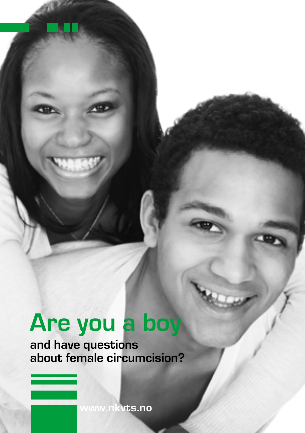# **Are you a boy**

**and have questions about female circumcision?**

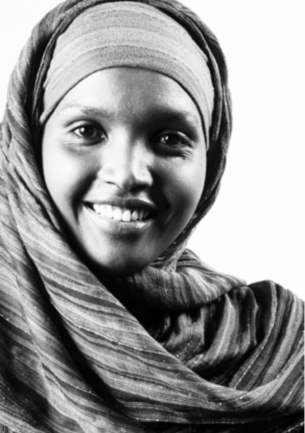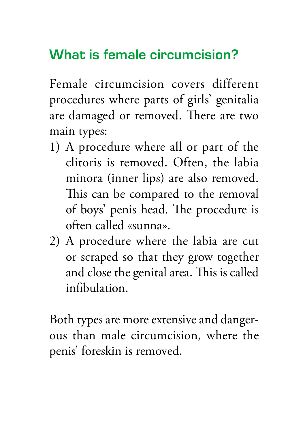#### **What is female circumcision?**

Female circumcision covers different procedures where parts of girls' genitalia are damaged or removed. There are two main types:

- 1) A procedure where all or part of the clitoris is removed. Often, the labia minora (inner lips) are also removed. This can be compared to the removal of boys' penis head. The procedure is often called «sunna».
- 2) A procedure where the labia are cut or scraped so that they grow together and close the genital area. This is called infibulation.

Both types are more extensive and dangerous than male circumcision, where the penis' foreskin is removed.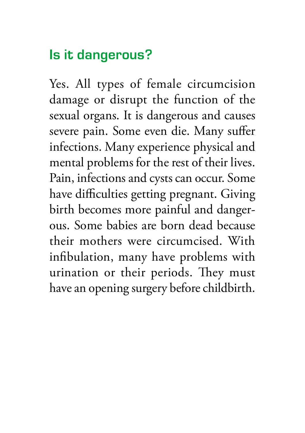#### **Is it dangerous?**

Yes. All types of female circumcision damage or disrupt the function of the sexual organs. It is dangerous and causes severe pain. Some even die. Many suffer infections. Many experience physical and mental problems for the rest of their lives. Pain, infections and cysts can occur. Some have difficulties getting pregnant. Giving birth becomes more painful and dangerous. Some babies are born dead because their mothers were circumcised. With infibulation, many have problems with urination or their periods. They must have an opening surgery before childbirth.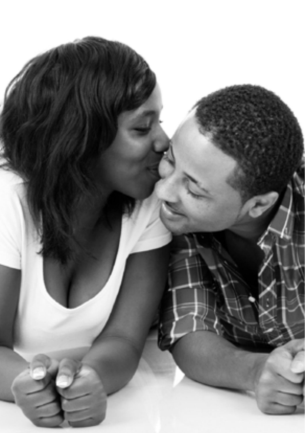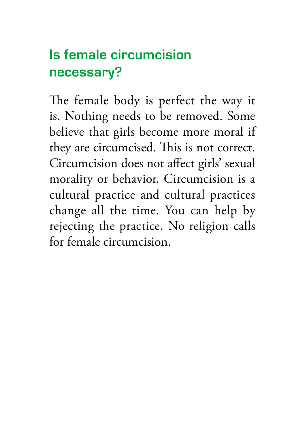## **Is female circumcision necessary?**

The female body is perfect the way it is. Nothing needs to be removed. Some believe that girls become more moral if they are circumcised. This is not correct. Circumcision does not affect girls' sexual morality or behavior. Circumcision is a cultural practice and cultural practices change all the time. You can help by rejecting the practice. No religion calls for female circumcision.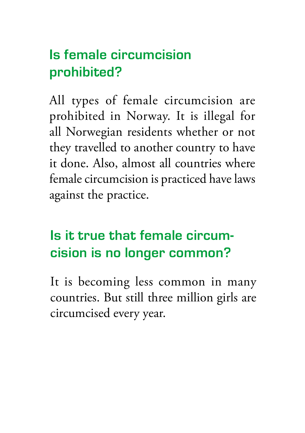## **Is female circumcision prohibited?**

All types of female circumcision are prohibited in Norway. It is illegal for all Norwegian residents whether or not they travelled to another country to have it done. Also, almost all countries where female circumcision is practiced have laws against the practice.

# **Is it true that female circumcision is no longer common?**

It is becoming less common in many countries. But still three million girls are circumcised every year.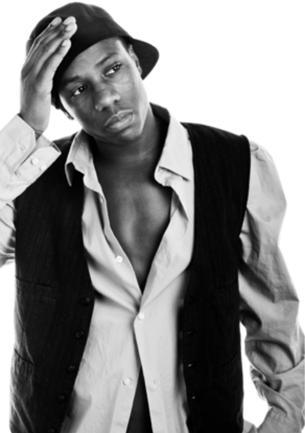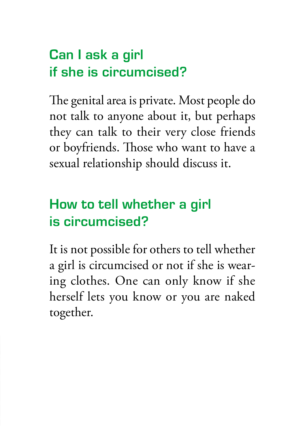## **Can I ask a girl if she is circumcised?**

The genital area is private. Most people do not talk to anyone about it, but perhaps they can talk to their very close friends or boyfriends. Those who want to have a sexual relationship should discuss it.

## **How to tell whether a girl is circumcised?**

It is not possible for others to tell whether a girl is circumcised or not if she is wearing clothes. One can only know if she herself lets you know or you are naked together.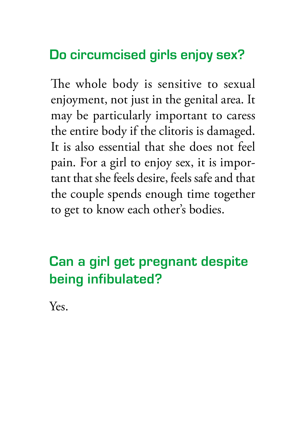#### **Do circumcised girls enjoy sex?**

The whole body is sensitive to sexual enjoyment, not just in the genital area. It may be particularly important to caress the entire body if the clitoris is damaged. It is also essential that she does not feel pain. For a girl to enjoy sex, it is important that she feels desire, feels safe and that the couple spends enough time together to get to know each other's bodies.

# **Can a girl get pregnant despite being infibulated?**

Yes.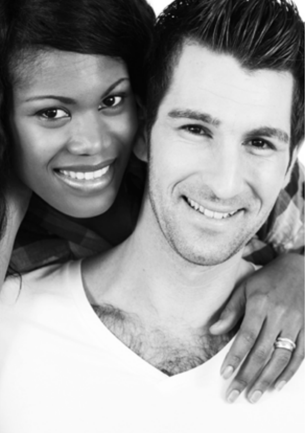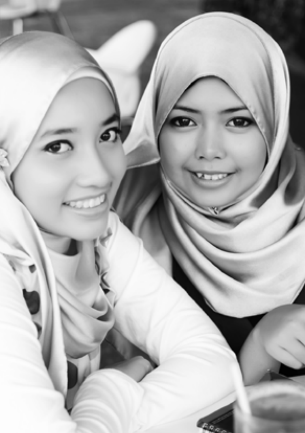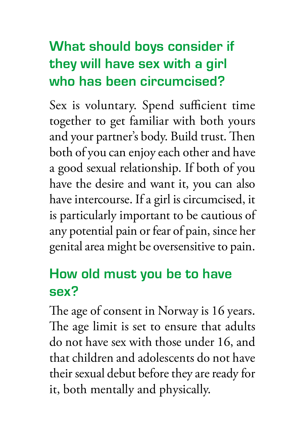# **What should boys consider if they will have sex with a girl who has been circumcised?**

Sex is voluntary. Spend sufficient time together to get familiar with both yours and your partner's body. Build trust. Then both of you can enjoy each other and have a good sexual relationship. If both of you have the desire and want it, you can also have intercourse. If a girl is circumcised, it is particularly important to be cautious of any potential pain or fear of pain, since her genital area might be oversensitive to pain.

#### **How old must you be to have sex?**

The age of consent in Norway is 16 years. The age limit is set to ensure that adults do not have sex with those under 16, and that children and adolescents do not have their sexual debut before they are ready for it, both mentally and physically.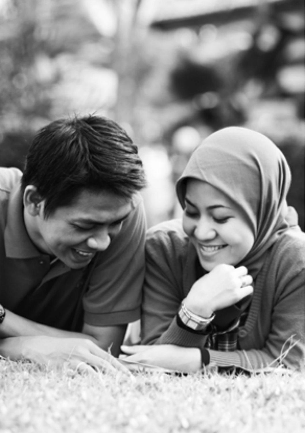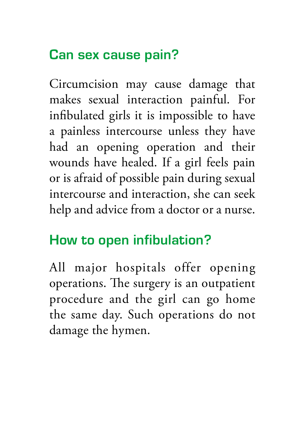#### **Can sex cause pain?**

Circumcision may cause damage that makes sexual interaction painful. For infibulated girls it is impossible to have a painless intercourse unless they have had an opening operation and their wounds have healed. If a girl feels pain or is afraid of possible pain during sexual intercourse and interaction, she can seek help and advice from a doctor or a nurse.

#### **How to open infibulation?**

All major hospitals offer opening operations. The surgery is an outpatient procedure and the girl can go home the same day. Such operations do not damage the hymen.